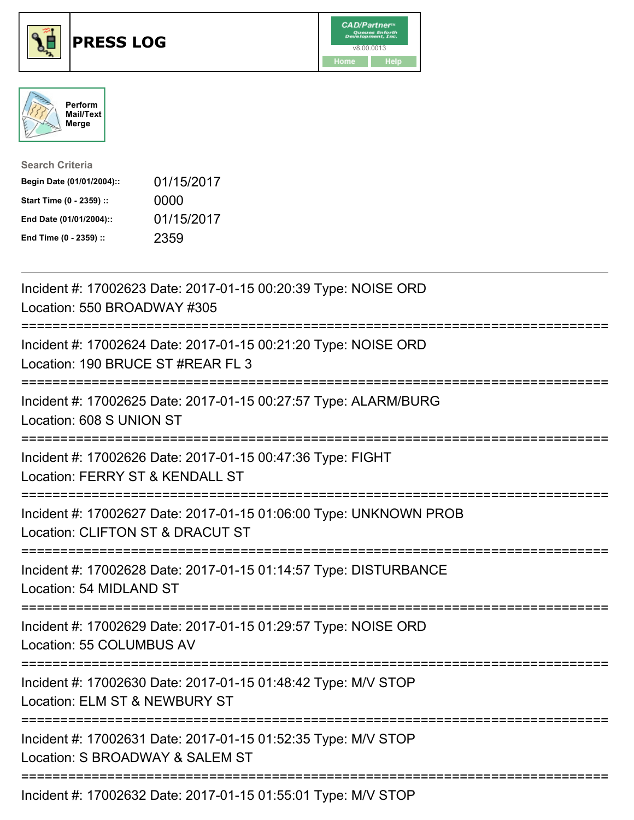

## **PRESS LOG** v8.00.0013





| <b>Search Criteria</b>    |            |
|---------------------------|------------|
| Begin Date (01/01/2004):: | 01/15/2017 |
| Start Time (0 - 2359) ::  | 0000       |
| End Date (01/01/2004)::   | 01/15/2017 |
| End Time (0 - 2359) ::    | 2359       |

Incident #: 17002623 Date: 2017-01-15 00:20:39 Type: NOISE ORD Location: 550 BROADWAY #305 =========================================================================== Incident #: 17002624 Date: 2017-01-15 00:21:20 Type: NOISE ORD Location: 190 BRUCE ST #REAR FL 3 =========================================================================== Incident #: 17002625 Date: 2017-01-15 00:27:57 Type: ALARM/BURG Location: 608 S UNION ST =========================================================================== Incident #: 17002626 Date: 2017-01-15 00:47:36 Type: FIGHT Location: FERRY ST & KENDALL ST =========================================================================== Incident #: 17002627 Date: 2017-01-15 01:06:00 Type: UNKNOWN PROB Location: CLIFTON ST & DRACUT ST =========================================================================== Incident #: 17002628 Date: 2017-01-15 01:14:57 Type: DISTURBANCE Location: 54 MIDLAND ST =========================================================================== Incident #: 17002629 Date: 2017-01-15 01:29:57 Type: NOISE ORD Location: 55 COLUMBUS AV =========================================================================== Incident #: 17002630 Date: 2017-01-15 01:48:42 Type: M/V STOP Location: ELM ST & NEWBURY ST =========================================================================== Incident #: 17002631 Date: 2017-01-15 01:52:35 Type: M/V STOP Location: S BROADWAY & SALEM ST =========================================================================== Incident #: 17002632 Date: 2017-01-15 01:55:01 Type: M/V STOP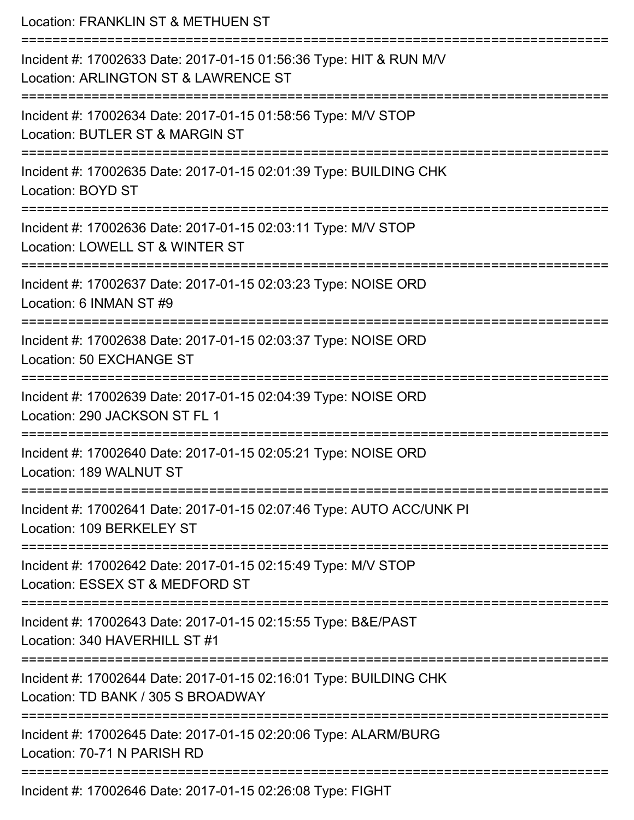| Location: FRANKLIN ST & METHUEN ST<br>============================<br>---------------------------                                           |
|---------------------------------------------------------------------------------------------------------------------------------------------|
| Incident #: 17002633 Date: 2017-01-15 01:56:36 Type: HIT & RUN M/V<br>Location: ARLINGTON ST & LAWRENCE ST<br>============================= |
| Incident #: 17002634 Date: 2017-01-15 01:58:56 Type: M/V STOP<br>Location: BUTLER ST & MARGIN ST                                            |
| Incident #: 17002635 Date: 2017-01-15 02:01:39 Type: BUILDING CHK<br>Location: BOYD ST                                                      |
| Incident #: 17002636 Date: 2017-01-15 02:03:11 Type: M/V STOP<br>Location: LOWELL ST & WINTER ST                                            |
| Incident #: 17002637 Date: 2017-01-15 02:03:23 Type: NOISE ORD<br>Location: 6 INMAN ST #9                                                   |
| Incident #: 17002638 Date: 2017-01-15 02:03:37 Type: NOISE ORD<br>Location: 50 EXCHANGE ST                                                  |
| Incident #: 17002639 Date: 2017-01-15 02:04:39 Type: NOISE ORD<br>Location: 290 JACKSON ST FL 1                                             |
| Incident #: 17002640 Date: 2017-01-15 02:05:21 Type: NOISE ORD<br>Location: 189 WALNUT ST                                                   |
| Incident #: 17002641 Date: 2017-01-15 02:07:46 Type: AUTO ACC/UNK PI<br>Location: 109 BERKELEY ST                                           |
| Incident #: 17002642 Date: 2017-01-15 02:15:49 Type: M/V STOP<br>Location: ESSEX ST & MEDFORD ST                                            |
| Incident #: 17002643 Date: 2017-01-15 02:15:55 Type: B&E/PAST<br>Location: 340 HAVERHILL ST #1                                              |
| Incident #: 17002644 Date: 2017-01-15 02:16:01 Type: BUILDING CHK<br>Location: TD BANK / 305 S BROADWAY                                     |
| Incident #: 17002645 Date: 2017-01-15 02:20:06 Type: ALARM/BURG<br>Location: 70-71 N PARISH RD                                              |
| Incident #: 17002646 Date: 2017-01-15 02:26:08 Type: FIGHT                                                                                  |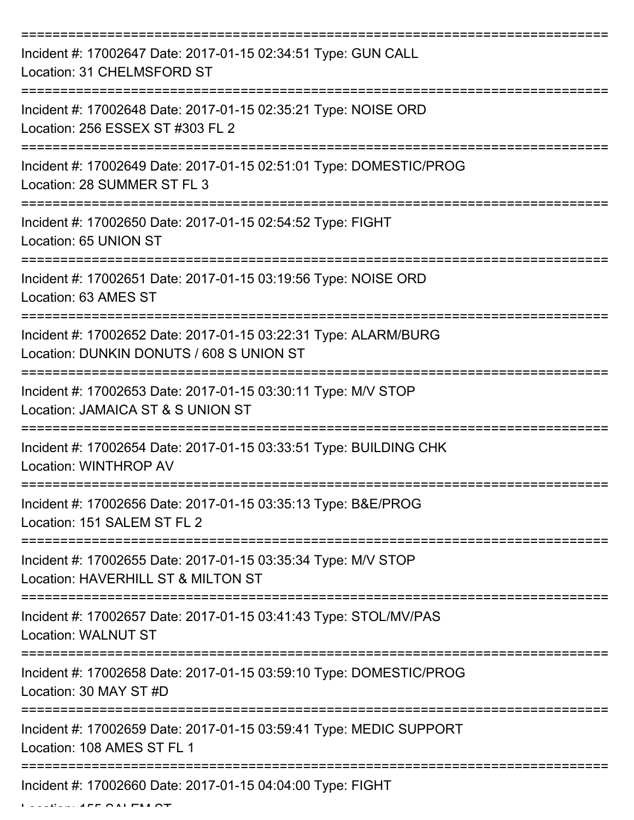| Incident #: 17002647 Date: 2017-01-15 02:34:51 Type: GUN CALL<br>Location: 31 CHELMSFORD ST                                          |
|--------------------------------------------------------------------------------------------------------------------------------------|
| Incident #: 17002648 Date: 2017-01-15 02:35:21 Type: NOISE ORD<br>Location: 256 ESSEX ST #303 FL 2                                   |
| Incident #: 17002649 Date: 2017-01-15 02:51:01 Type: DOMESTIC/PROG<br>Location: 28 SUMMER ST FL 3                                    |
| Incident #: 17002650 Date: 2017-01-15 02:54:52 Type: FIGHT<br>Location: 65 UNION ST                                                  |
| Incident #: 17002651 Date: 2017-01-15 03:19:56 Type: NOISE ORD<br>Location: 63 AMES ST                                               |
| Incident #: 17002652 Date: 2017-01-15 03:22:31 Type: ALARM/BURG<br>Location: DUNKIN DONUTS / 608 S UNION ST                          |
| Incident #: 17002653 Date: 2017-01-15 03:30:11 Type: M/V STOP<br>Location: JAMAICA ST & S UNION ST                                   |
| Incident #: 17002654 Date: 2017-01-15 03:33:51 Type: BUILDING CHK<br>Location: WINTHROP AV                                           |
| Incident #: 17002656 Date: 2017-01-15 03:35:13 Type: B&E/PROG<br>Location: 151 SALEM ST FL 2                                         |
| Incident #: 17002655 Date: 2017-01-15 03:35:34 Type: M/V STOP<br>Location: HAVERHILL ST & MILTON ST                                  |
| Incident #: 17002657 Date: 2017-01-15 03:41:43 Type: STOL/MV/PAS<br><b>Location: WALNUT ST</b>                                       |
| ====================================<br>Incident #: 17002658 Date: 2017-01-15 03:59:10 Type: DOMESTIC/PROG<br>Location: 30 MAY ST #D |
| Incident #: 17002659 Date: 2017-01-15 03:59:41 Type: MEDIC SUPPORT<br>Location: 108 AMES ST FL 1                                     |
| Incident #: 17002660 Date: 2017-01-15 04:04:00 Type: FIGHT                                                                           |

 $L$ ....  $A$  FF  $\bigcap A$  i FM  $\bigcap T$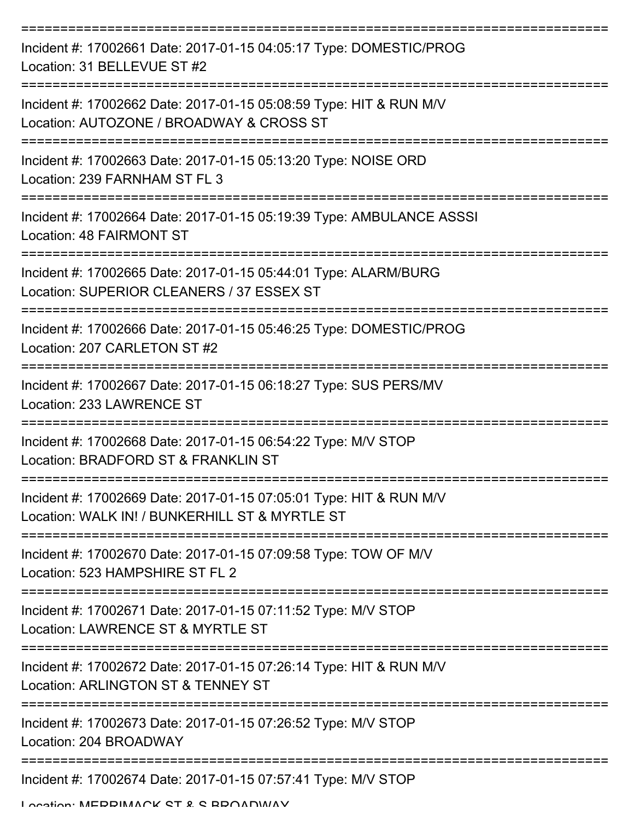| Incident #: 17002661 Date: 2017-01-15 04:05:17 Type: DOMESTIC/PROG<br>Location: 31 BELLEVUE ST #2                    |
|----------------------------------------------------------------------------------------------------------------------|
| Incident #: 17002662 Date: 2017-01-15 05:08:59 Type: HIT & RUN M/V<br>Location: AUTOZONE / BROADWAY & CROSS ST       |
| Incident #: 17002663 Date: 2017-01-15 05:13:20 Type: NOISE ORD<br>Location: 239 FARNHAM ST FL 3                      |
| Incident #: 17002664 Date: 2017-01-15 05:19:39 Type: AMBULANCE ASSSI<br>Location: 48 FAIRMONT ST                     |
| Incident #: 17002665 Date: 2017-01-15 05:44:01 Type: ALARM/BURG<br>Location: SUPERIOR CLEANERS / 37 ESSEX ST         |
| Incident #: 17002666 Date: 2017-01-15 05:46:25 Type: DOMESTIC/PROG<br>Location: 207 CARLETON ST #2                   |
| Incident #: 17002667 Date: 2017-01-15 06:18:27 Type: SUS PERS/MV<br>Location: 233 LAWRENCE ST                        |
| Incident #: 17002668 Date: 2017-01-15 06:54:22 Type: M/V STOP<br>Location: BRADFORD ST & FRANKLIN ST                 |
| Incident #: 17002669 Date: 2017-01-15 07:05:01 Type: HIT & RUN M/V<br>Location: WALK IN! / BUNKERHILL ST & MYRTLE ST |
| Incident #: 17002670 Date: 2017-01-15 07:09:58 Type: TOW OF M/V<br>Location: 523 HAMPSHIRE ST FL 2                   |
| Incident #: 17002671 Date: 2017-01-15 07:11:52 Type: M/V STOP<br>Location: LAWRENCE ST & MYRTLE ST                   |
| Incident #: 17002672 Date: 2017-01-15 07:26:14 Type: HIT & RUN M/V<br>Location: ARLINGTON ST & TENNEY ST             |
| Incident #: 17002673 Date: 2017-01-15 07:26:52 Type: M/V STOP<br>Location: 204 BROADWAY                              |
| Incident #: 17002674 Date: 2017-01-15 07:57:41 Type: M/V STOP<br>I occion: MEDDIMACK CT & C DDOADMAV                 |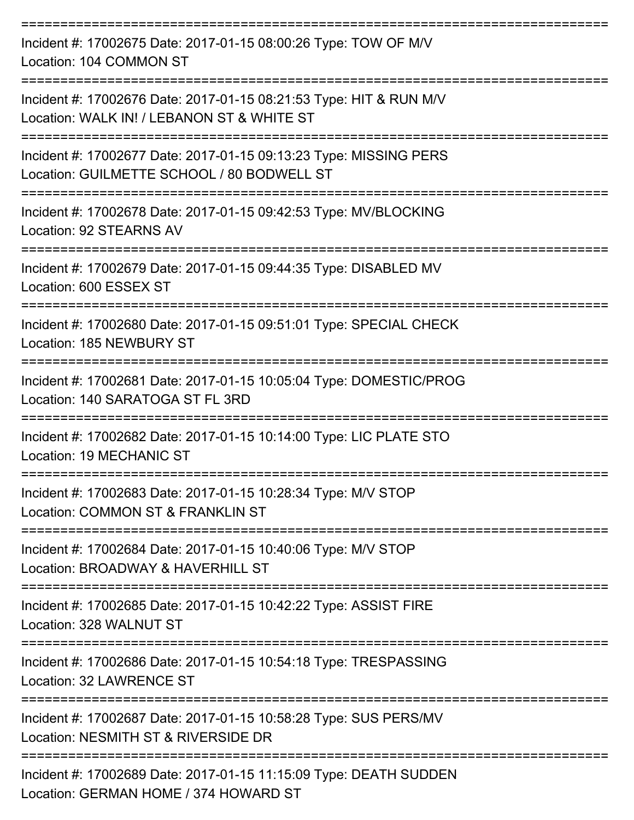| Incident #: 17002675 Date: 2017-01-15 08:00:26 Type: TOW OF M/V<br>Location: 104 COMMON ST                       |
|------------------------------------------------------------------------------------------------------------------|
| Incident #: 17002676 Date: 2017-01-15 08:21:53 Type: HIT & RUN M/V<br>Location: WALK IN! / LEBANON ST & WHITE ST |
| Incident #: 17002677 Date: 2017-01-15 09:13:23 Type: MISSING PERS<br>Location: GUILMETTE SCHOOL / 80 BODWELL ST  |
| Incident #: 17002678 Date: 2017-01-15 09:42:53 Type: MV/BLOCKING<br>Location: 92 STEARNS AV                      |
| Incident #: 17002679 Date: 2017-01-15 09:44:35 Type: DISABLED MV<br>Location: 600 ESSEX ST                       |
| Incident #: 17002680 Date: 2017-01-15 09:51:01 Type: SPECIAL CHECK<br>Location: 185 NEWBURY ST                   |
| Incident #: 17002681 Date: 2017-01-15 10:05:04 Type: DOMESTIC/PROG<br>Location: 140 SARATOGA ST FL 3RD           |
| Incident #: 17002682 Date: 2017-01-15 10:14:00 Type: LIC PLATE STO<br>Location: 19 MECHANIC ST                   |
| Incident #: 17002683 Date: 2017-01-15 10:28:34 Type: M/V STOP<br>Location: COMMON ST & FRANKLIN ST               |
| Incident #: 17002684 Date: 2017-01-15 10:40:06 Type: M/V STOP<br>Location: BROADWAY & HAVERHILL ST               |
| Incident #: 17002685 Date: 2017-01-15 10:42:22 Type: ASSIST FIRE<br>Location: 328 WALNUT ST                      |
| Incident #: 17002686 Date: 2017-01-15 10:54:18 Type: TRESPASSING<br><b>Location: 32 LAWRENCE ST</b>              |
| Incident #: 17002687 Date: 2017-01-15 10:58:28 Type: SUS PERS/MV<br>Location: NESMITH ST & RIVERSIDE DR          |
| Incident #: 17002689 Date: 2017-01-15 11:15:09 Type: DEATH SUDDEN<br>Location: GERMAN HOME / 374 HOWARD ST       |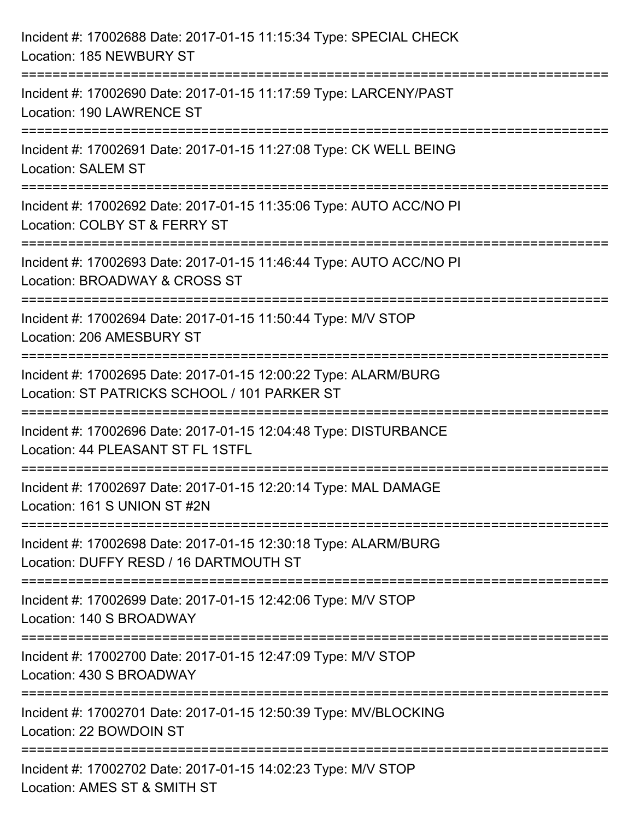| Incident #: 17002688 Date: 2017-01-15 11:15:34 Type: SPECIAL CHECK<br>Location: 185 NEWBURY ST                                         |
|----------------------------------------------------------------------------------------------------------------------------------------|
| ====================================<br>Incident #: 17002690 Date: 2017-01-15 11:17:59 Type: LARCENY/PAST<br>Location: 190 LAWRENCE ST |
| Incident #: 17002691 Date: 2017-01-15 11:27:08 Type: CK WELL BEING<br><b>Location: SALEM ST</b>                                        |
| Incident #: 17002692 Date: 2017-01-15 11:35:06 Type: AUTO ACC/NO PI<br>Location: COLBY ST & FERRY ST                                   |
| Incident #: 17002693 Date: 2017-01-15 11:46:44 Type: AUTO ACC/NO PI<br>Location: BROADWAY & CROSS ST                                   |
| Incident #: 17002694 Date: 2017-01-15 11:50:44 Type: M/V STOP<br>Location: 206 AMESBURY ST                                             |
| Incident #: 17002695 Date: 2017-01-15 12:00:22 Type: ALARM/BURG<br>Location: ST PATRICKS SCHOOL / 101 PARKER ST                        |
| Incident #: 17002696 Date: 2017-01-15 12:04:48 Type: DISTURBANCE<br>Location: 44 PLEASANT ST FL 1STFL                                  |
| Incident #: 17002697 Date: 2017-01-15 12:20:14 Type: MAL DAMAGE<br>Location: 161 S UNION ST #2N                                        |
| Incident #: 17002698 Date: 2017-01-15 12:30:18 Type: ALARM/BURG<br>Location: DUFFY RESD / 16 DARTMOUTH ST                              |
| Incident #: 17002699 Date: 2017-01-15 12:42:06 Type: M/V STOP<br>Location: 140 S BROADWAY                                              |
| Incident #: 17002700 Date: 2017-01-15 12:47:09 Type: M/V STOP<br>Location: 430 S BROADWAY                                              |
| Incident #: 17002701 Date: 2017-01-15 12:50:39 Type: MV/BLOCKING<br>Location: 22 BOWDOIN ST                                            |
| Incident #: 17002702 Date: 2017-01-15 14:02:23 Type: M/V STOP<br>Location: AMES ST & SMITH ST                                          |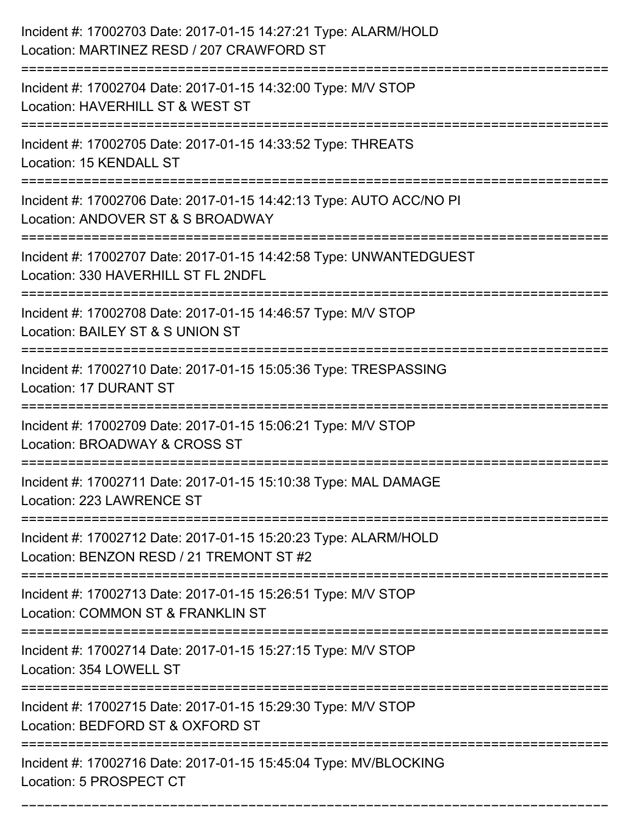| Incident #: 17002703 Date: 2017-01-15 14:27:21 Type: ALARM/HOLD<br>Location: MARTINEZ RESD / 207 CRAWFORD ST                         |
|--------------------------------------------------------------------------------------------------------------------------------------|
| Incident #: 17002704 Date: 2017-01-15 14:32:00 Type: M/V STOP<br>Location: HAVERHILL ST & WEST ST                                    |
| Incident #: 17002705 Date: 2017-01-15 14:33:52 Type: THREATS<br>Location: 15 KENDALL ST                                              |
| Incident #: 17002706 Date: 2017-01-15 14:42:13 Type: AUTO ACC/NO PI<br>Location: ANDOVER ST & S BROADWAY                             |
| Incident #: 17002707 Date: 2017-01-15 14:42:58 Type: UNWANTEDGUEST<br>Location: 330 HAVERHILL ST FL 2NDFL                            |
| Incident #: 17002708 Date: 2017-01-15 14:46:57 Type: M/V STOP<br>Location: BAILEY ST & S UNION ST                                    |
| Incident #: 17002710 Date: 2017-01-15 15:05:36 Type: TRESPASSING<br><b>Location: 17 DURANT ST</b>                                    |
| Incident #: 17002709 Date: 2017-01-15 15:06:21 Type: M/V STOP<br>Location: BROADWAY & CROSS ST                                       |
| Incident #: 17002711 Date: 2017-01-15 15:10:38 Type: MAL DAMAGE<br>Location: 223 LAWRENCE ST                                         |
| Incident #: 17002712 Date: 2017-01-15 15:20:23 Type: ALARM/HOLD<br>Location: BENZON RESD / 21 TREMONT ST #2<br>--------------------- |
| Incident #: 17002713 Date: 2017-01-15 15:26:51 Type: M/V STOP<br>Location: COMMON ST & FRANKLIN ST                                   |
| Incident #: 17002714 Date: 2017-01-15 15:27:15 Type: M/V STOP<br>Location: 354 LOWELL ST                                             |
| Incident #: 17002715 Date: 2017-01-15 15:29:30 Type: M/V STOP<br>Location: BEDFORD ST & OXFORD ST                                    |
| Incident #: 17002716 Date: 2017-01-15 15:45:04 Type: MV/BLOCKING<br>Location: 5 PROSPECT CT                                          |

===========================================================================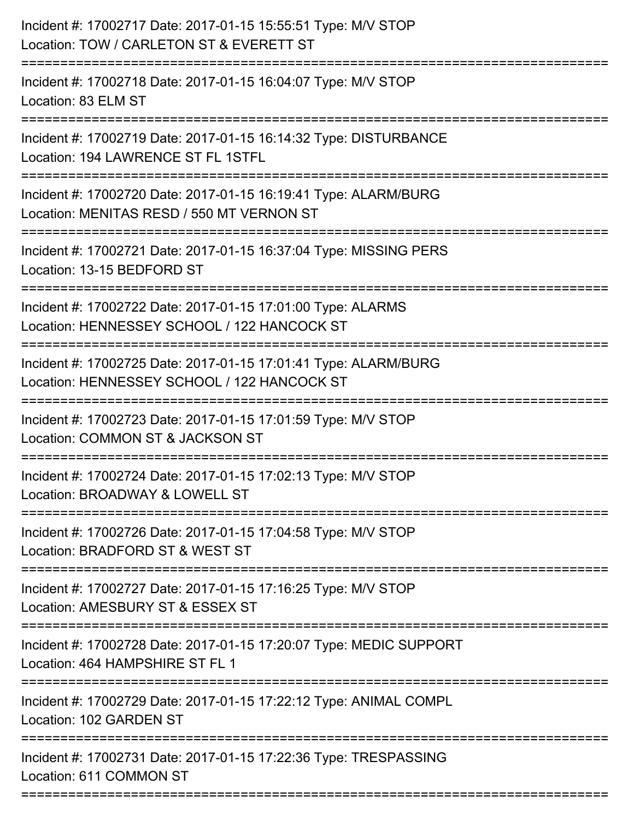| Incident #: 17002717 Date: 2017-01-15 15:55:51 Type: M/V STOP<br>Location: TOW / CARLETON ST & EVERETT ST                        |
|----------------------------------------------------------------------------------------------------------------------------------|
| Incident #: 17002718 Date: 2017-01-15 16:04:07 Type: M/V STOP<br>Location: 83 ELM ST                                             |
| Incident #: 17002719 Date: 2017-01-15 16:14:32 Type: DISTURBANCE<br>Location: 194 LAWRENCE ST FL 1STFL<br>====================== |
| Incident #: 17002720 Date: 2017-01-15 16:19:41 Type: ALARM/BURG<br>Location: MENITAS RESD / 550 MT VERNON ST                     |
| Incident #: 17002721 Date: 2017-01-15 16:37:04 Type: MISSING PERS<br>Location: 13-15 BEDFORD ST                                  |
| Incident #: 17002722 Date: 2017-01-15 17:01:00 Type: ALARMS<br>Location: HENNESSEY SCHOOL / 122 HANCOCK ST                       |
| Incident #: 17002725 Date: 2017-01-15 17:01:41 Type: ALARM/BURG<br>Location: HENNESSEY SCHOOL / 122 HANCOCK ST                   |
| Incident #: 17002723 Date: 2017-01-15 17:01:59 Type: M/V STOP<br>Location: COMMON ST & JACKSON ST                                |
| Incident #: 17002724 Date: 2017-01-15 17:02:13 Type: M/V STOP<br>Location: BROADWAY & LOWELL ST                                  |
| Incident #: 17002726 Date: 2017-01-15 17:04:58 Type: M/V STOP<br>Location: BRADFORD ST & WEST ST                                 |
| Incident #: 17002727 Date: 2017-01-15 17:16:25 Type: M/V STOP<br>Location: AMESBURY ST & ESSEX ST                                |
| Incident #: 17002728 Date: 2017-01-15 17:20:07 Type: MEDIC SUPPORT<br>Location: 464 HAMPSHIRE ST FL 1                            |
| Incident #: 17002729 Date: 2017-01-15 17:22:12 Type: ANIMAL COMPL<br>Location: 102 GARDEN ST                                     |
| Incident #: 17002731 Date: 2017-01-15 17:22:36 Type: TRESPASSING<br>Location: 611 COMMON ST                                      |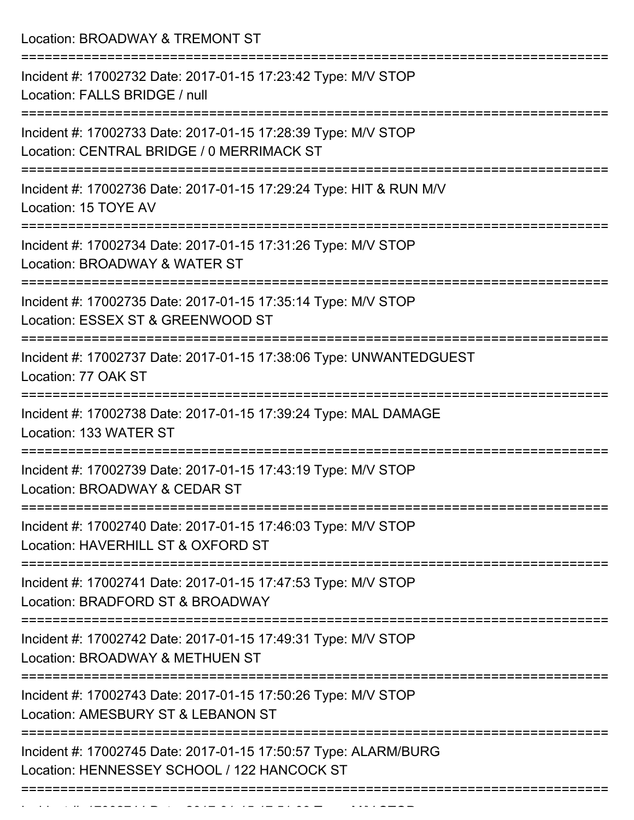Location: BROADWAY & TREMONT ST =========================================================================== Incident #: 17002732 Date: 2017-01-15 17:23:42 Type: M/V STOP Location: FALLS BRIDGE / null =========================================================================== Incident #: 17002733 Date: 2017-01-15 17:28:39 Type: M/V STOP Location: CENTRAL BRIDGE / 0 MERRIMACK ST =========================================================================== Incident #: 17002736 Date: 2017-01-15 17:29:24 Type: HIT & RUN M/V Location: 15 TOYE AV =========================================================================== Incident #: 17002734 Date: 2017-01-15 17:31:26 Type: M/V STOP Location: BROADWAY & WATER ST =========================================================================== Incident #: 17002735 Date: 2017-01-15 17:35:14 Type: M/V STOP Location: ESSEX ST & GREENWOOD ST =========================================================================== Incident #: 17002737 Date: 2017-01-15 17:38:06 Type: UNWANTEDGUEST Location: 77 OAK ST =========================================================================== Incident #: 17002738 Date: 2017-01-15 17:39:24 Type: MAL DAMAGE Location: 133 WATER ST =========================================================================== Incident #: 17002739 Date: 2017-01-15 17:43:19 Type: M/V STOP Location: BROADWAY & CEDAR ST =========================================================================== Incident #: 17002740 Date: 2017-01-15 17:46:03 Type: M/V STOP Location: HAVERHILL ST & OXFORD ST =========================================================================== Incident #: 17002741 Date: 2017-01-15 17:47:53 Type: M/V STOP Location: BRADFORD ST & BROADWAY =========================================================================== Incident #: 17002742 Date: 2017-01-15 17:49:31 Type: M/V STOP Location: BROADWAY & METHUEN ST =========================================================================== Incident #: 17002743 Date: 2017-01-15 17:50:26 Type: M/V STOP Location: AMESBURY ST & LEBANON ST =========================================================================== Incident #: 17002745 Date: 2017-01-15 17:50:57 Type: ALARM/BURG Location: HENNESSEY SCHOOL / 122 HANCOCK ST ===========================================================================

Incident #: 17002744 Date: 2017 01 15 17:51:09 Type: M/V STOP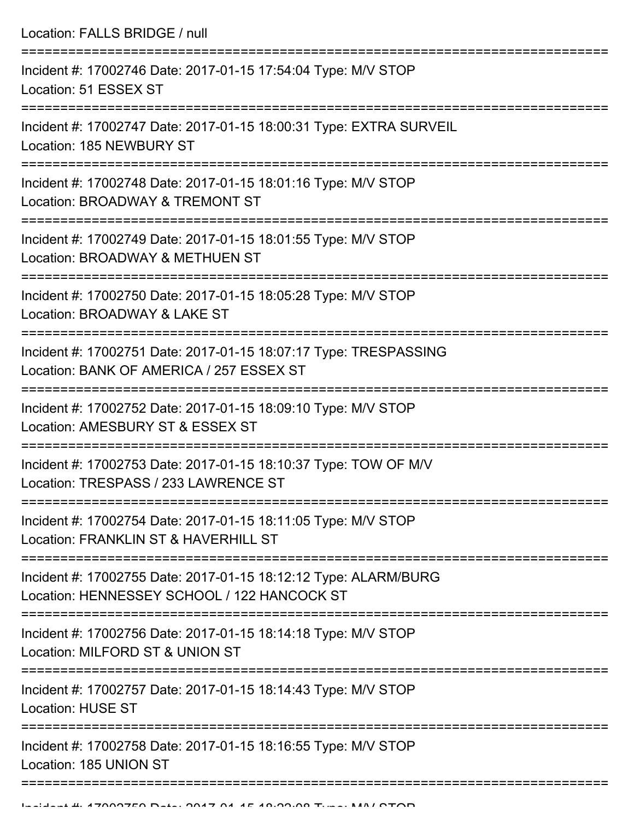| Location: FALLS BRIDGE / null                                                                                                                    |
|--------------------------------------------------------------------------------------------------------------------------------------------------|
| Incident #: 17002746 Date: 2017-01-15 17:54:04 Type: M/V STOP<br>Location: 51 ESSEX ST<br>:===============================                       |
| Incident #: 17002747 Date: 2017-01-15 18:00:31 Type: EXTRA SURVEIL<br>Location: 185 NEWBURY ST                                                   |
| Incident #: 17002748 Date: 2017-01-15 18:01:16 Type: M/V STOP<br>Location: BROADWAY & TREMONT ST                                                 |
| Incident #: 17002749 Date: 2017-01-15 18:01:55 Type: M/V STOP<br>Location: BROADWAY & METHUEN ST                                                 |
| Incident #: 17002750 Date: 2017-01-15 18:05:28 Type: M/V STOP<br>Location: BROADWAY & LAKE ST<br>=================================               |
| Incident #: 17002751 Date: 2017-01-15 18:07:17 Type: TRESPASSING<br>Location: BANK OF AMERICA / 257 ESSEX ST<br>--------------------             |
| Incident #: 17002752 Date: 2017-01-15 18:09:10 Type: M/V STOP<br>Location: AMESBURY ST & ESSEX ST                                                |
| Incident #: 17002753 Date: 2017-01-15 18:10:37 Type: TOW OF M/V<br>Location: TRESPASS / 233 LAWRENCE ST<br>===================================== |
| Incident #: 17002754 Date: 2017-01-15 18:11:05 Type: M/V STOP<br>Location: FRANKLIN ST & HAVERHILL ST                                            |
| Incident #: 17002755 Date: 2017-01-15 18:12:12 Type: ALARM/BURG<br>Location: HENNESSEY SCHOOL / 122 HANCOCK ST                                   |
| Incident #: 17002756 Date: 2017-01-15 18:14:18 Type: M/V STOP<br>Location: MILFORD ST & UNION ST                                                 |
| Incident #: 17002757 Date: 2017-01-15 18:14:43 Type: M/V STOP<br><b>Location: HUSE ST</b>                                                        |
| Incident #: 17002758 Date: 2017-01-15 18:16:55 Type: M/V STOP<br>Location: 185 UNION ST                                                          |
|                                                                                                                                                  |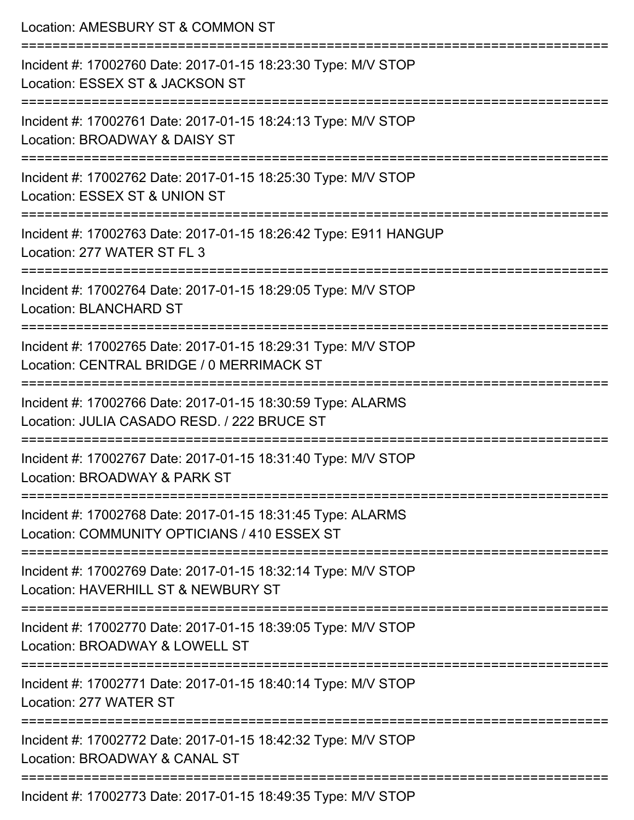| Location: AMESBURY ST & COMMON ST                                                                           |
|-------------------------------------------------------------------------------------------------------------|
| Incident #: 17002760 Date: 2017-01-15 18:23:30 Type: M/V STOP<br>Location: ESSEX ST & JACKSON ST            |
| Incident #: 17002761 Date: 2017-01-15 18:24:13 Type: M/V STOP<br>Location: BROADWAY & DAISY ST              |
| Incident #: 17002762 Date: 2017-01-15 18:25:30 Type: M/V STOP<br>Location: ESSEX ST & UNION ST              |
| Incident #: 17002763 Date: 2017-01-15 18:26:42 Type: E911 HANGUP<br>Location: 277 WATER ST FL 3             |
| Incident #: 17002764 Date: 2017-01-15 18:29:05 Type: M/V STOP<br><b>Location: BLANCHARD ST</b>              |
| Incident #: 17002765 Date: 2017-01-15 18:29:31 Type: M/V STOP<br>Location: CENTRAL BRIDGE / 0 MERRIMACK ST  |
| Incident #: 17002766 Date: 2017-01-15 18:30:59 Type: ALARMS<br>Location: JULIA CASADO RESD. / 222 BRUCE ST  |
| Incident #: 17002767 Date: 2017-01-15 18:31:40 Type: M/V STOP<br>Location: BROADWAY & PARK ST               |
| Incident #: 17002768 Date: 2017-01-15 18:31:45 Type: ALARMS<br>Location: COMMUNITY OPTICIANS / 410 ESSEX ST |
| Incident #: 17002769 Date: 2017-01-15 18:32:14 Type: M/V STOP<br>Location: HAVERHILL ST & NEWBURY ST        |
| Incident #: 17002770 Date: 2017-01-15 18:39:05 Type: M/V STOP<br>Location: BROADWAY & LOWELL ST             |
| Incident #: 17002771 Date: 2017-01-15 18:40:14 Type: M/V STOP<br>Location: 277 WATER ST                     |
| Incident #: 17002772 Date: 2017-01-15 18:42:32 Type: M/V STOP<br>Location: BROADWAY & CANAL ST              |
| Incident #: 17002773 Date: 2017-01-15 18:49:35 Type: M/V STOP                                               |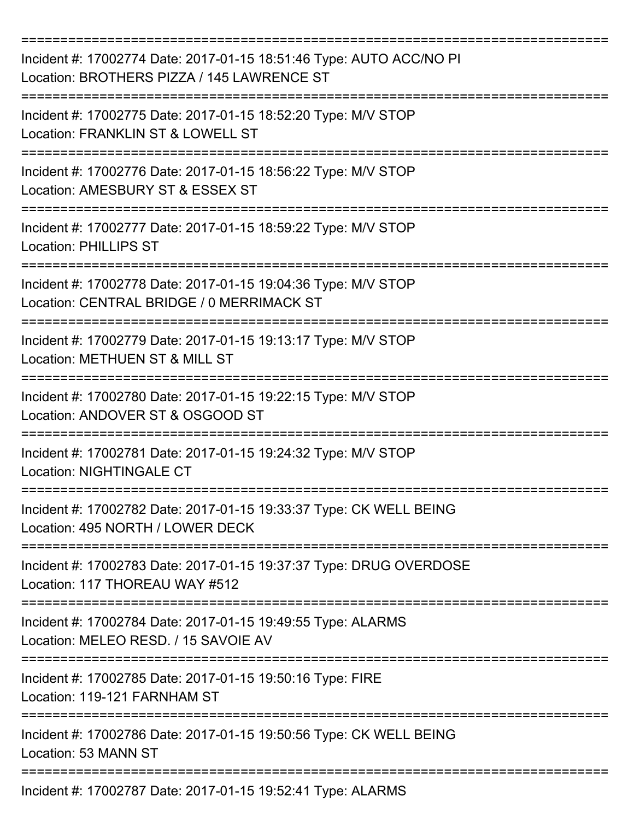| Incident #: 17002774 Date: 2017-01-15 18:51:46 Type: AUTO ACC/NO PI<br>Location: BROTHERS PIZZA / 145 LAWRENCE ST |
|-------------------------------------------------------------------------------------------------------------------|
| Incident #: 17002775 Date: 2017-01-15 18:52:20 Type: M/V STOP<br>Location: FRANKLIN ST & LOWELL ST                |
| Incident #: 17002776 Date: 2017-01-15 18:56:22 Type: M/V STOP<br>Location: AMESBURY ST & ESSEX ST                 |
| Incident #: 17002777 Date: 2017-01-15 18:59:22 Type: M/V STOP<br>Location: PHILLIPS ST                            |
| Incident #: 17002778 Date: 2017-01-15 19:04:36 Type: M/V STOP<br>Location: CENTRAL BRIDGE / 0 MERRIMACK ST        |
| Incident #: 17002779 Date: 2017-01-15 19:13:17 Type: M/V STOP<br>Location: METHUEN ST & MILL ST                   |
| Incident #: 17002780 Date: 2017-01-15 19:22:15 Type: M/V STOP<br>Location: ANDOVER ST & OSGOOD ST                 |
| Incident #: 17002781 Date: 2017-01-15 19:24:32 Type: M/V STOP<br><b>Location: NIGHTINGALE CT</b>                  |
| Incident #: 17002782 Date: 2017-01-15 19:33:37 Type: CK WELL BEING<br>Location: 495 NORTH / LOWER DECK            |
| Incident #: 17002783 Date: 2017-01-15 19:37:37 Type: DRUG OVERDOSE<br>Location: 117 THOREAU WAY #512              |
| Incident #: 17002784 Date: 2017-01-15 19:49:55 Type: ALARMS<br>Location: MELEO RESD. / 15 SAVOIE AV               |
| Incident #: 17002785 Date: 2017-01-15 19:50:16 Type: FIRE<br>Location: 119-121 FARNHAM ST                         |
| Incident #: 17002786 Date: 2017-01-15 19:50:56 Type: CK WELL BEING<br>Location: 53 MANN ST                        |
| Incident #: 17002787 Date: 2017-01-15 19:52:41 Type: ALARMS                                                       |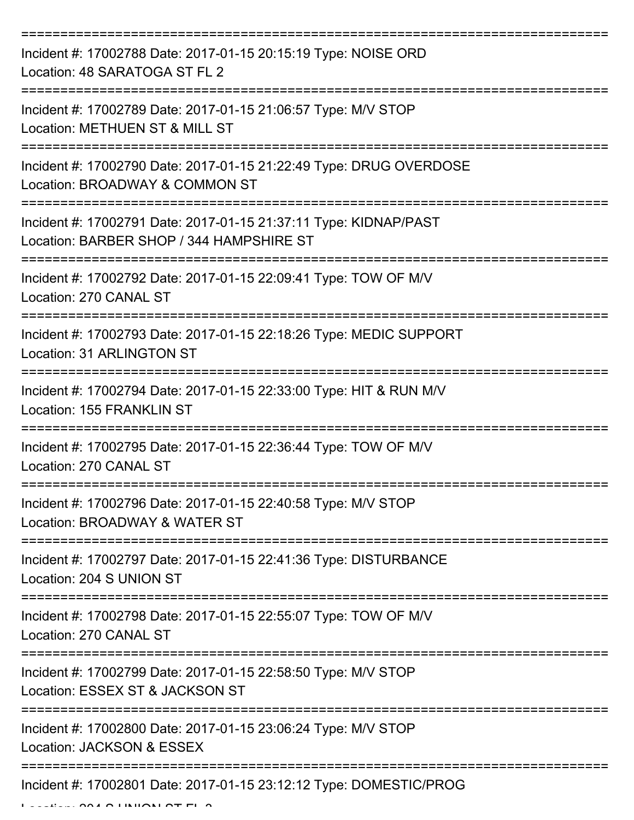| Incident #: 17002788 Date: 2017-01-15 20:15:19 Type: NOISE ORD<br>Location: 48 SARATOGA ST FL 2               |
|---------------------------------------------------------------------------------------------------------------|
| Incident #: 17002789 Date: 2017-01-15 21:06:57 Type: M/V STOP<br>Location: METHUEN ST & MILL ST               |
| Incident #: 17002790 Date: 2017-01-15 21:22:49 Type: DRUG OVERDOSE<br>Location: BROADWAY & COMMON ST          |
| Incident #: 17002791 Date: 2017-01-15 21:37:11 Type: KIDNAP/PAST<br>Location: BARBER SHOP / 344 HAMPSHIRE ST  |
| Incident #: 17002792 Date: 2017-01-15 22:09:41 Type: TOW OF M/V<br>Location: 270 CANAL ST                     |
| Incident #: 17002793 Date: 2017-01-15 22:18:26 Type: MEDIC SUPPORT<br>Location: 31 ARLINGTON ST               |
| Incident #: 17002794 Date: 2017-01-15 22:33:00 Type: HIT & RUN M/V<br>Location: 155 FRANKLIN ST<br>========== |
| Incident #: 17002795 Date: 2017-01-15 22:36:44 Type: TOW OF M/V<br>Location: 270 CANAL ST                     |
| Incident #: 17002796 Date: 2017-01-15 22:40:58 Type: M/V STOP<br>Location: BROADWAY & WATER ST                |
| Incident #: 17002797 Date: 2017-01-15 22:41:36 Type: DISTURBANCE<br>Location: 204 S UNION ST                  |
| Incident #: 17002798 Date: 2017-01-15 22:55:07 Type: TOW OF M/V<br>Location: 270 CANAL ST                     |
| Incident #: 17002799 Date: 2017-01-15 22:58:50 Type: M/V STOP<br>Location: ESSEX ST & JACKSON ST              |
| Incident #: 17002800 Date: 2017-01-15 23:06:24 Type: M/V STOP<br>Location: JACKSON & ESSEX                    |
| Incident #: 17002801 Date: 2017-01-15 23:12:12 Type: DOMESTIC/PROG                                            |